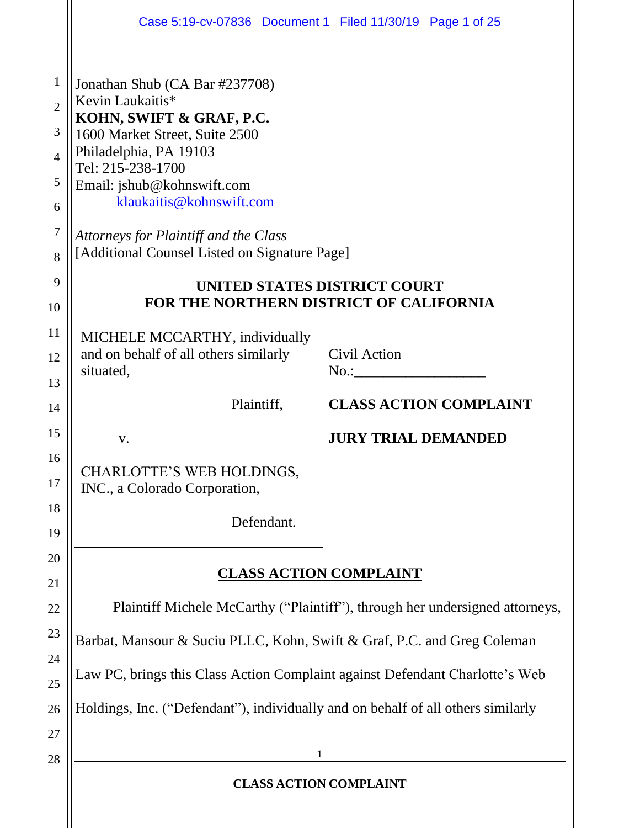|                                                                                     | Case 5:19-cv-07836 Document 1 Filed 11/30/19 Page 1 of 25                                                                                                                                                                                                                                                                                                  |
|-------------------------------------------------------------------------------------|------------------------------------------------------------------------------------------------------------------------------------------------------------------------------------------------------------------------------------------------------------------------------------------------------------------------------------------------------------|
| $\mathbf{1}$<br>$\overline{2}$<br>3<br>$\overline{4}$<br>5<br>6<br>$\tau$<br>8<br>9 | Jonathan Shub (CA Bar #237708)<br>Kevin Laukaitis*<br>KOHN, SWIFT & GRAF, P.C.<br>1600 Market Street, Suite 2500<br>Philadelphia, PA 19103<br>Tel: 215-238-1700<br>Email: jshub@kohnswift.com<br>klaukaitis@kohnswift.com<br>Attorneys for Plaintiff and the Class<br>[Additional Counsel Listed on Signature Page]<br><b>UNITED STATES DISTRICT COURT</b> |
| 10                                                                                  | FOR THE NORTHERN DISTRICT OF CALIFORNIA                                                                                                                                                                                                                                                                                                                    |
| 11<br>12<br>13<br>14<br>15<br>16                                                    | MICHELE MCCARTHY, individually<br>and on behalf of all others similarly<br>Civil Action<br>situated,<br><b>CLASS ACTION COMPLAINT</b><br>Plaintiff,<br><b>JURY TRIAL DEMANDED</b><br>V.<br>CHARLOTTE'S WEB HOLDINGS,                                                                                                                                       |
| 17<br>18<br>19                                                                      | INC., a Colorado Corporation,<br>Defendant.                                                                                                                                                                                                                                                                                                                |
| 20<br>21                                                                            | <b>CLASS ACTION COMPLAINT</b>                                                                                                                                                                                                                                                                                                                              |
| 22                                                                                  | Plaintiff Michele McCarthy ("Plaintiff"), through her undersigned attorneys,                                                                                                                                                                                                                                                                               |
| 23                                                                                  | Barbat, Mansour & Suciu PLLC, Kohn, Swift & Graf, P.C. and Greg Coleman                                                                                                                                                                                                                                                                                    |
| 24<br>25                                                                            | Law PC, brings this Class Action Complaint against Defendant Charlotte's Web                                                                                                                                                                                                                                                                               |
| 26                                                                                  | Holdings, Inc. ("Defendant"), individually and on behalf of all others similarly                                                                                                                                                                                                                                                                           |
| 27                                                                                  | 1                                                                                                                                                                                                                                                                                                                                                          |
| 28                                                                                  | <b>CLASS ACTION COMPLAINT</b>                                                                                                                                                                                                                                                                                                                              |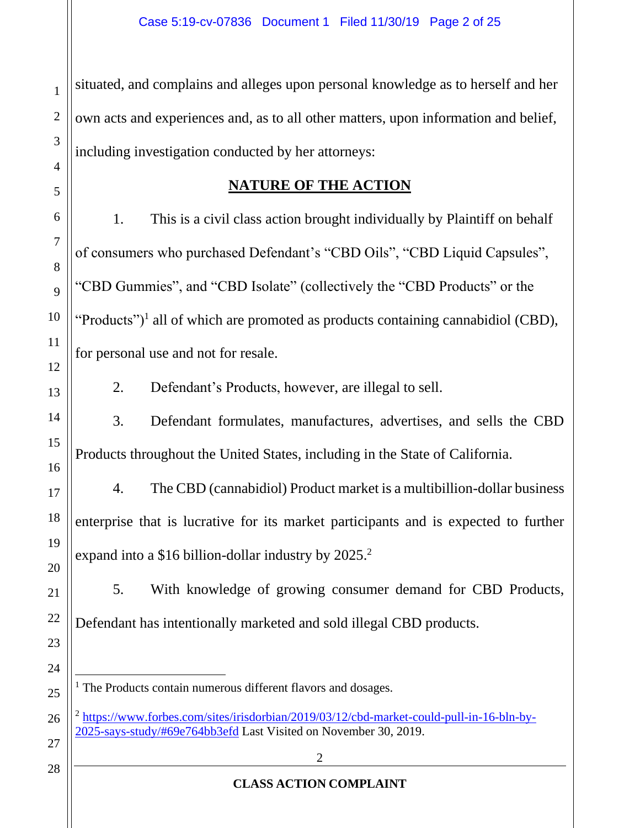situated, and complains and alleges upon personal knowledge as to herself and her own acts and experiences and, as to all other matters, upon information and belief, including investigation conducted by her attorneys:

## **NATURE OF THE ACTION**

1. This is a civil class action brought individually by Plaintiff on behalf of consumers who purchased Defendant's "CBD Oils", "CBD Liquid Capsules", "CBD Gummies", and "CBD Isolate" (collectively the "CBD Products" or the "Products")<sup>1</sup> all of which are promoted as products containing cannabidiol (CBD), for personal use and not for resale.

2. Defendant's Products, however, are illegal to sell.

3. Defendant formulates, manufactures, advertises, and sells the CBD Products throughout the United States, including in the State of California.

4. The CBD (cannabidiol) Product market is a multibillion-dollar business enterprise that is lucrative for its market participants and is expected to further expand into a \$16 billion-dollar industry by  $2025.<sup>2</sup>$ 

5. With knowledge of growing consumer demand for CBD Products, Defendant has intentionally marketed and sold illegal CBD products.

- <sup>1</sup> The Products contain numerous different flavors and dosages.
- <sup>2</sup> https://www.forbes.com/sites/irisdorbian/2019/03/12/cbd-market-could-pull-in-16-bln-by-2025-says-study/#69e764bb3efd Last Visited on November 30, 2019.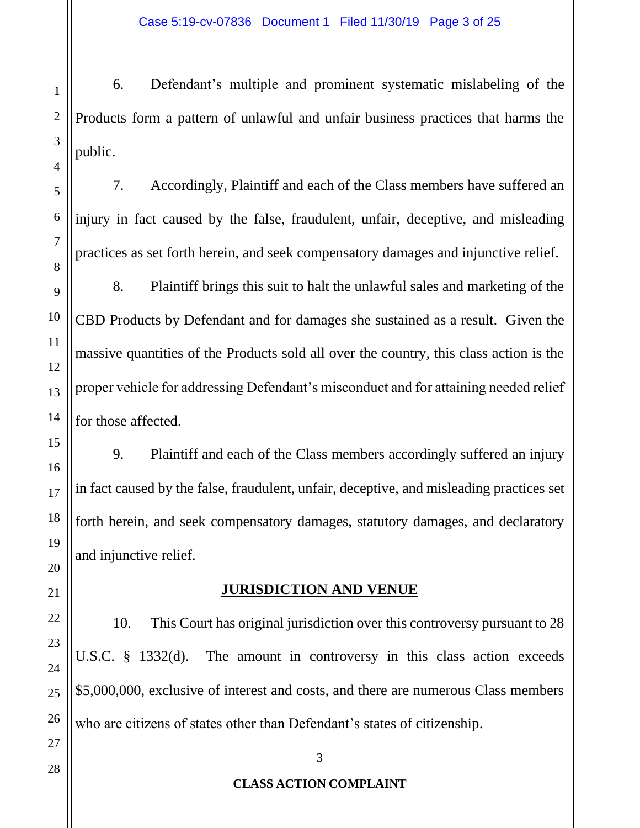6. Defendant's multiple and prominent systematic mislabeling of the Products form a pattern of unlawful and unfair business practices that harms the public.

7. Accordingly, Plaintiff and each of the Class members have suffered an injury in fact caused by the false, fraudulent, unfair, deceptive, and misleading practices as set forth herein, and seek compensatory damages and injunctive relief.

8. Plaintiff brings this suit to halt the unlawful sales and marketing of the CBD Products by Defendant and for damages she sustained as a result. Given the massive quantities of the Products sold all over the country, this class action is the proper vehicle for addressing Defendant's misconduct and for attaining needed relief for those affected.

9. Plaintiff and each of the Class members accordingly suffered an injury in fact caused by the false, fraudulent, unfair, deceptive, and misleading practices set forth herein, and seek compensatory damages, statutory damages, and declaratory and injunctive relief.

# **JURISDICTION AND VENUE**

10. This Court has original jurisdiction over this controversy pursuant to 28 U.S.C. § 1332(d). The amount in controversy in this class action exceeds \$5,000,000, exclusive of interest and costs, and there are numerous Class members who are citizens of states other than Defendant's states of citizenship.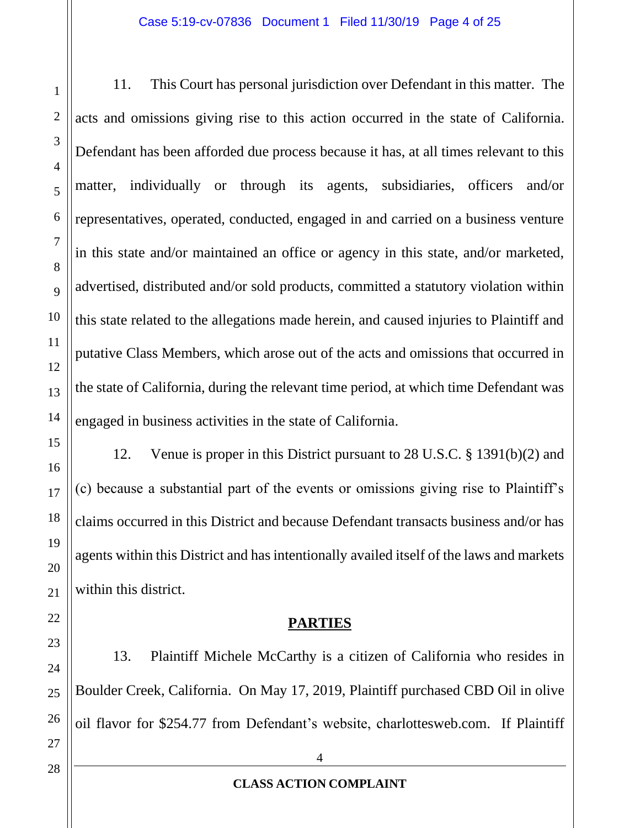11. This Court has personal jurisdiction over Defendant in this matter. The acts and omissions giving rise to this action occurred in the state of California. Defendant has been afforded due process because it has, at all times relevant to this matter, individually or through its agents, subsidiaries, officers and/or representatives, operated, conducted, engaged in and carried on a business venture in this state and/or maintained an office or agency in this state, and/or marketed, advertised, distributed and/or sold products, committed a statutory violation within this state related to the allegations made herein, and caused injuries to Plaintiff and putative Class Members, which arose out of the acts and omissions that occurred in the state of California, during the relevant time period, at which time Defendant was engaged in business activities in the state of California.

12. Venue is proper in this District pursuant to 28 U.S.C. § 1391(b)(2) and (c) because a substantial part of the events or omissions giving rise to Plaintiff's claims occurred in this District and because Defendant transacts business and/or has agents within this District and has intentionally availed itself of the laws and markets within this district.

# **PARTIES**

13. Plaintiff Michele McCarthy is a citizen of California who resides in Boulder Creek, California. On May 17, 2019, Plaintiff purchased CBD Oil in olive oil flavor for \$254.77 from Defendant's website, charlottesweb.com. If Plaintiff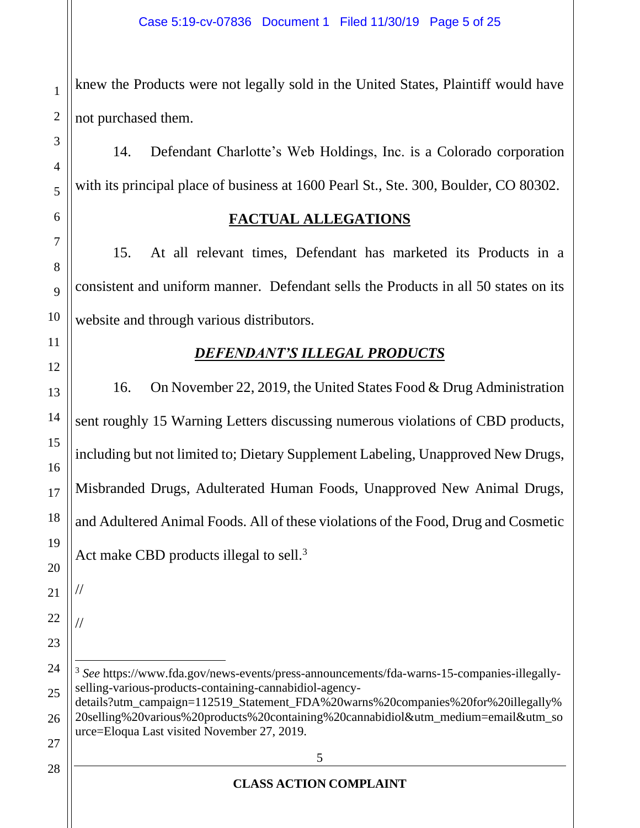knew the Products were not legally sold in the United States, Plaintiff would have not purchased them.

14. Defendant Charlotte's Web Holdings, Inc. is a Colorado corporation with its principal place of business at 1600 Pearl St., Ste. 300, Boulder, CO 80302.

# **FACTUAL ALLEGATIONS**

15. At all relevant times, Defendant has marketed its Products in a consistent and uniform manner. Defendant sells the Products in all 50 states on its website and through various distributors.

# *DEFENDANT'S ILLEGAL PRODUCTS*

16. On November 22, 2019, the United States Food & Drug Administration sent roughly 15 Warning Letters discussing numerous violations of CBD products, including but not limited to; Dietary Supplement Labeling, Unapproved New Drugs, Misbranded Drugs, Adulterated Human Foods, Unapproved New Animal Drugs, and Adultered Animal Foods. All of these violations of the Food, Drug and Cosmetic Act make CBD products illegal to sell.<sup>3</sup>

20 21

//

//

1

2

3

4

5

6

7

<sup>&</sup>lt;sup>3</sup> See https://www.fda.gov/news-events/press-announcements/fda-warns-15-companies-illegallyselling-various-products-containing-cannabidiol-agency-

details?utm\_campaign=112519\_Statement\_FDA%20warns%20companies%20for%20illegally% 20selling%20various%20products%20containing%20cannabidiol&utm\_medium=email&utm\_so urce=Eloqua Last visited November 27, 2019.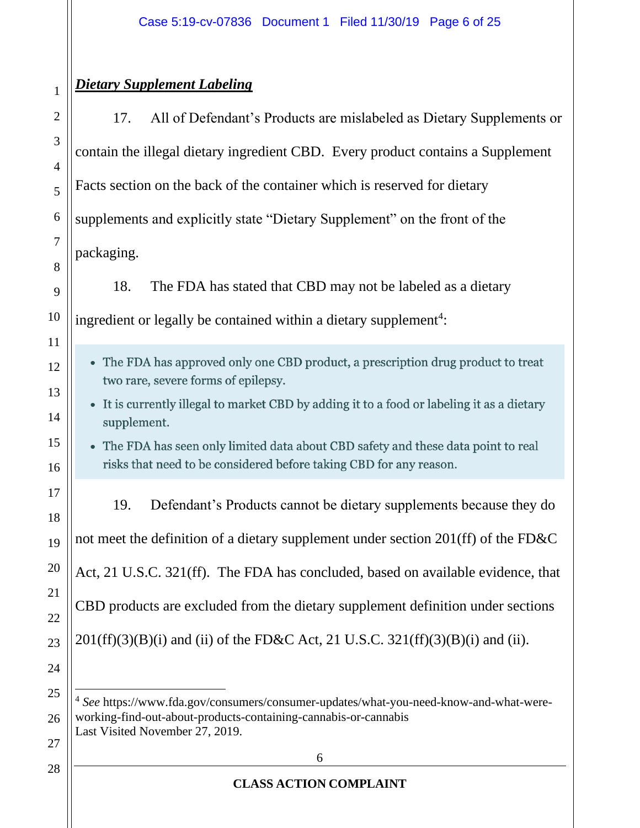# *Dietary Supplement Labeling*

1

2

3

4

5

6

7

8

9

10

11

12

13

14

15

16

17

18

19

20

21

22

23

24

25

26

27

28

17. All of Defendant's Products are mislabeled as Dietary Supplements or contain the illegal dietary ingredient CBD. Every product contains a Supplement Facts section on the back of the container which is reserved for dietary supplements and explicitly state "Dietary Supplement" on the front of the packaging.

18. The FDA has stated that CBD may not be labeled as a dietary ingredient or legally be contained within a dietary supplement<sup>4</sup>:

- The FDA has approved only one CBD product, a prescription drug product to treat two rare, severe forms of epilepsy.
- It is currently illegal to market CBD by adding it to a food or labeling it as a dietary supplement.
- The FDA has seen only limited data about CBD safety and these data point to real risks that need to be considered before taking CBD for any reason.

19. Defendant's Products cannot be dietary supplements because they do not meet the definition of a dietary supplement under section 201(ff) of the FD&C Act, 21 U.S.C. 321(ff). The FDA has concluded, based on available evidence, that CBD products are excluded from the dietary supplement definition under sections  $201(ff)(3)(B)(i)$  and (ii) of the FD&C Act, 21 U.S.C. 321(ff)(3)(B)(i) and (ii).

4 *See* https://www.fda.gov/consumers/consumer-updates/what-you-need-know-and-what-wereworking-find-out-about-products-containing-cannabis-or-cannabis Last Visited November 27, 2019.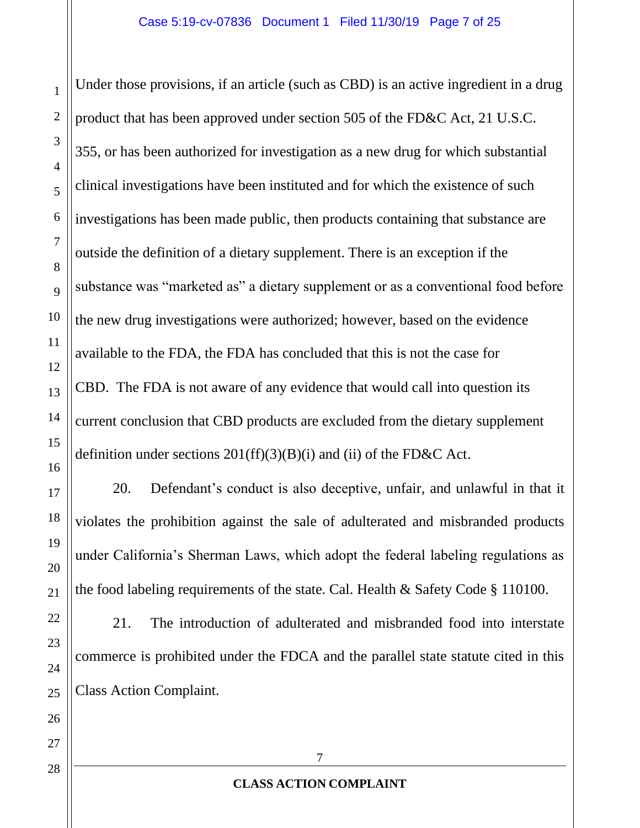Under those provisions, if an article (such as CBD) is an active ingredient in a drug product that has been approved under section 505 of the FD&C Act, 21 U.S.C. 355, or has been authorized for investigation as a new drug for which substantial clinical investigations have been instituted and for which the existence of such investigations has been made public, then products containing that substance are outside the definition of a dietary supplement. There is an exception if the substance was "marketed as" a dietary supplement or as a conventional food before the new drug investigations were authorized; however, based on the evidence available to the FDA, the FDA has concluded that this is not the case for CBD. The FDA is not aware of any evidence that would call into question its current conclusion that CBD products are excluded from the dietary supplement definition under sections  $201(ff)(3)(B)(i)$  and (ii) of the FD&C Act.

20. Defendant's conduct is also deceptive, unfair, and unlawful in that it violates the prohibition against the sale of adulterated and misbranded products under California's Sherman Laws, which adopt the federal labeling regulations as the food labeling requirements of the state. Cal. Health & Safety Code § 110100.

21. The introduction of adulterated and misbranded food into interstate commerce is prohibited under the FDCA and the parallel state statute cited in this Class Action Complaint.

28

1

2

3

4

5

6

7

8

9

10

11

12

13

14

15

16

17

18

19

20

21

22

23

24

25

26

27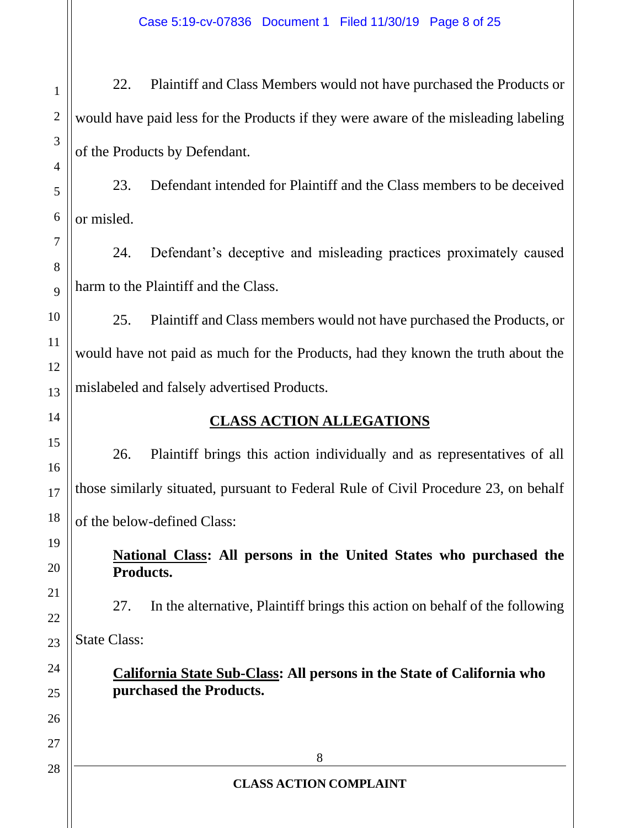2 22. Plaintiff and Class Members would not have purchased the Products or would have paid less for the Products if they were aware of the misleading labeling of the Products by Defendant.

23. Defendant intended for Plaintiff and the Class members to be deceived or misled.

24. Defendant's deceptive and misleading practices proximately caused harm to the Plaintiff and the Class.

25. Plaintiff and Class members would not have purchased the Products, or would have not paid as much for the Products, had they known the truth about the mislabeled and falsely advertised Products.

# **CLASS ACTION ALLEGATIONS**

26. Plaintiff brings this action individually and as representatives of all those similarly situated, pursuant to Federal Rule of Civil Procedure 23, on behalf of the below-defined Class:

**National Class: All persons in the United States who purchased the Products.**

27. In the alternative, Plaintiff brings this action on behalf of the following State Class:

**California State Sub-Class: All persons in the State of California who purchased the Products.**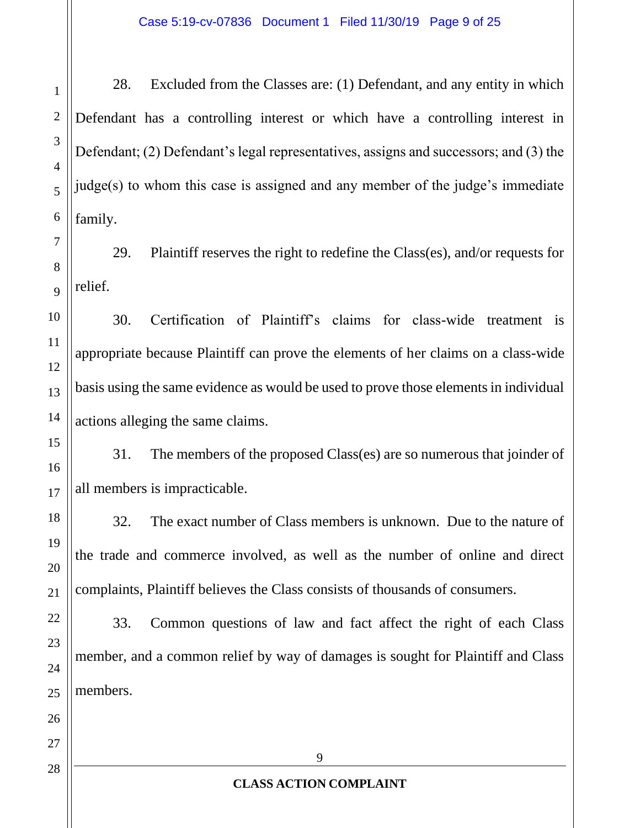28. Excluded from the Classes are: (1) Defendant, and any entity in which Defendant has a controlling interest or which have a controlling interest in Defendant; (2) Defendant's legal representatives, assigns and successors; and (3) the judge(s) to whom this case is assigned and any member of the judge's immediate family.

29. Plaintiff reserves the right to redefine the Class(es), and/or requests for relief.

30. Certification of Plaintiff's claims for class-wide treatment is appropriate because Plaintiff can prove the elements of her claims on a class-wide basis using the same evidence as would be used to prove those elements in individual actions alleging the same claims.

31. The members of the proposed Class(es) are so numerous that joinder of all members is impracticable.

32. The exact number of Class members is unknown. Due to the nature of the trade and commerce involved, as well as the number of online and direct complaints, Plaintiff believes the Class consists of thousands of consumers.

33. Common questions of law and fact affect the right of each Class member, and a common relief by way of damages is sought for Plaintiff and Class members.

1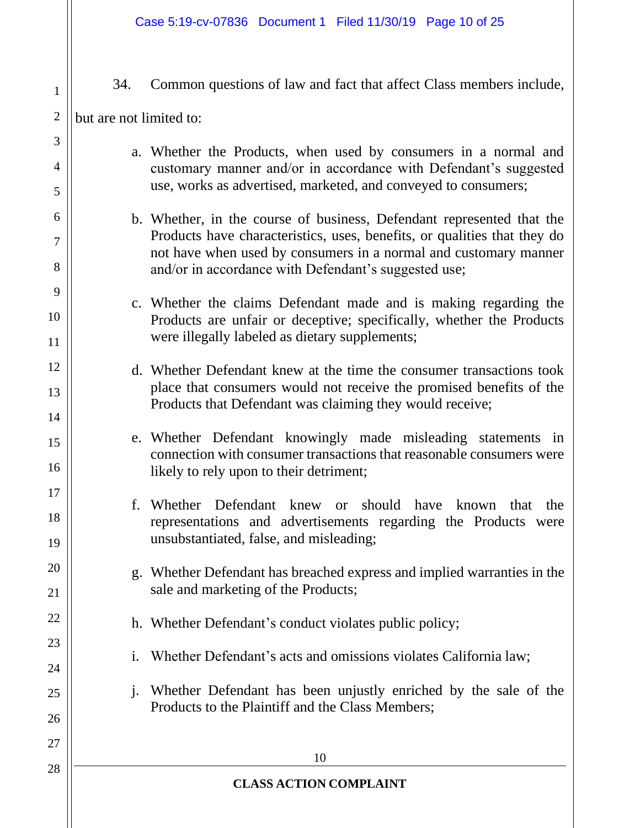34. Common questions of law and fact that affect Class members include,

## but are not limited to:

1

2

3

4

5

6

7

8

9

10

11

12

13

14

15

16

17

18

19

20

21

22

23

24

25

26

27

- a. Whether the Products, when used by consumers in a normal and customary manner and/or in accordance with Defendant's suggested use, works as advertised, marketed, and conveyed to consumers;
- b. Whether, in the course of business, Defendant represented that the Products have characteristics, uses, benefits, or qualities that they do not have when used by consumers in a normal and customary manner and/or in accordance with Defendant's suggested use;
- c. Whether the claims Defendant made and is making regarding the Products are unfair or deceptive; specifically, whether the Products were illegally labeled as dietary supplements;
- d. Whether Defendant knew at the time the consumer transactions took place that consumers would not receive the promised benefits of the Products that Defendant was claiming they would receive;
- e. Whether Defendant knowingly made misleading statements in connection with consumer transactions that reasonable consumers were likely to rely upon to their detriment;
- f. Whether Defendant knew or should have known that the representations and advertisements regarding the Products were unsubstantiated, false, and misleading;
- g. Whether Defendant has breached express and implied warranties in the sale and marketing of the Products;
- h. Whether Defendant's conduct violates public policy;
- i. Whether Defendant's acts and omissions violates California law;
- j. Whether Defendant has been unjustly enriched by the sale of the Products to the Plaintiff and the Class Members;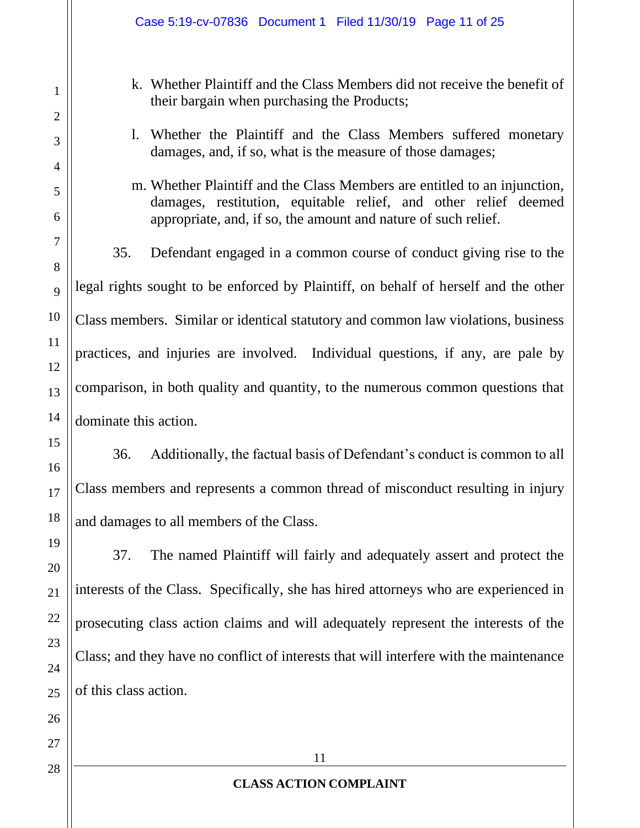- k. Whether Plaintiff and the Class Members did not receive the benefit of their bargain when purchasing the Products;
- l. Whether the Plaintiff and the Class Members suffered monetary damages, and, if so, what is the measure of those damages;
- m. Whether Plaintiff and the Class Members are entitled to an injunction, damages, restitution, equitable relief, and other relief deemed appropriate, and, if so, the amount and nature of such relief.

35. Defendant engaged in a common course of conduct giving rise to the legal rights sought to be enforced by Plaintiff, on behalf of herself and the other Class members. Similar or identical statutory and common law violations, business practices, and injuries are involved. Individual questions, if any, are pale by comparison, in both quality and quantity, to the numerous common questions that dominate this action.

36. Additionally, the factual basis of Defendant's conduct is common to all Class members and represents a common thread of misconduct resulting in injury and damages to all members of the Class.

37. The named Plaintiff will fairly and adequately assert and protect the interests of the Class. Specifically, she has hired attorneys who are experienced in prosecuting class action claims and will adequately represent the interests of the Class; and they have no conflict of interests that will interfere with the maintenance of this class action.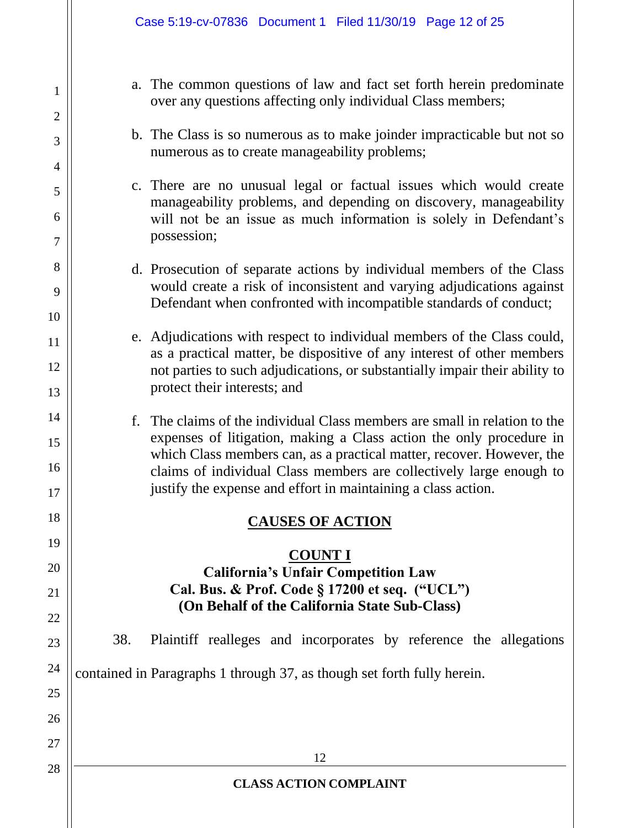1

2

3

4

5

6

7

8

9

10

11

12

13

14

15

16

17

18

19

20

21

22

23

24

25

26

27

28

- a. The common questions of law and fact set forth herein predominate over any questions affecting only individual Class members;
- b. The Class is so numerous as to make joinder impracticable but not so numerous as to create manageability problems;
- c. There are no unusual legal or factual issues which would create manageability problems, and depending on discovery, manageability will not be an issue as much information is solely in Defendant's possession;
- d. Prosecution of separate actions by individual members of the Class would create a risk of inconsistent and varying adjudications against Defendant when confronted with incompatible standards of conduct;
- e. Adjudications with respect to individual members of the Class could, as a practical matter, be dispositive of any interest of other members not parties to such adjudications, or substantially impair their ability to protect their interests; and
- f. The claims of the individual Class members are small in relation to the expenses of litigation, making a Class action the only procedure in which Class members can, as a practical matter, recover. However, the claims of individual Class members are collectively large enough to justify the expense and effort in maintaining a class action.

#### **CAUSES OF ACTION**

# **COUNT I California's Unfair Competition Law**

# **Cal. Bus. & Prof. Code § 17200 et seq. ("UCL") (On Behalf of the California State Sub-Class)**

38. Plaintiff realleges and incorporates by reference the allegations

contained in Paragraphs 1 through 37, as though set forth fully herein.

#### **CLASS ACTION COMPLAINT**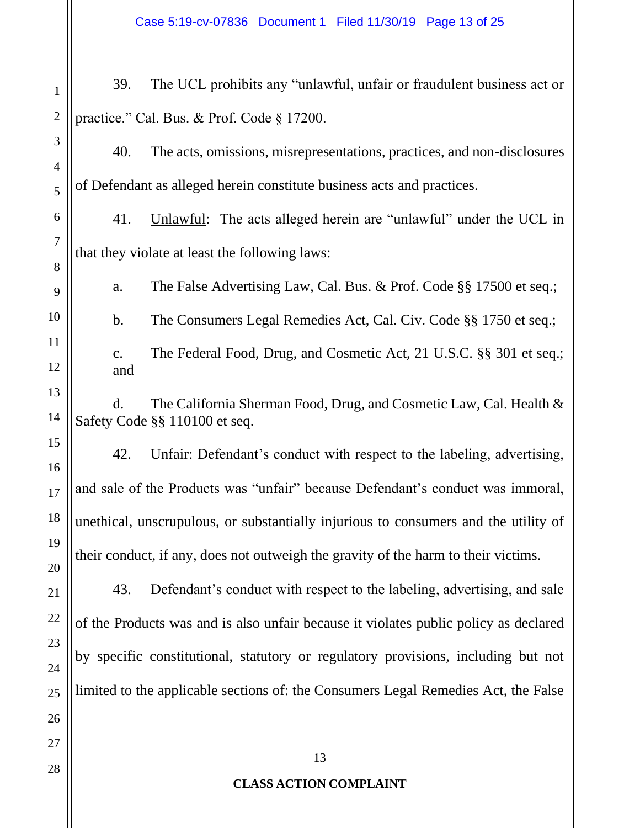13 **CLASS ACTION COMPLAINT** 1 2 3 4 5 6 7 8 9 10 11 12 13 14 15 16 17 18 19 20 21 22 23 24 25 26 27 28 39. The UCL prohibits any "unlawful, unfair or fraudulent business act or practice." Cal. Bus. & Prof. Code § 17200. 40. The acts, omissions, misrepresentations, practices, and non-disclosures of Defendant as alleged herein constitute business acts and practices. 41. Unlawful: The acts alleged herein are "unlawful" under the UCL in that they violate at least the following laws: a. The False Advertising Law, Cal. Bus. & Prof. Code §§ 17500 et seq.; b. The Consumers Legal Remedies Act, Cal. Civ. Code §§ 1750 et seq.; c. The Federal Food, Drug, and Cosmetic Act, 21 U.S.C. §§ 301 et seq.; and d. The California Sherman Food, Drug, and Cosmetic Law, Cal. Health & Safety Code §§ 110100 et seq. 42. Unfair: Defendant's conduct with respect to the labeling, advertising, and sale of the Products was "unfair" because Defendant's conduct was immoral, unethical, unscrupulous, or substantially injurious to consumers and the utility of their conduct, if any, does not outweigh the gravity of the harm to their victims. 43. Defendant's conduct with respect to the labeling, advertising, and sale of the Products was and is also unfair because it violates public policy as declared by specific constitutional, statutory or regulatory provisions, including but not limited to the applicable sections of: the Consumers Legal Remedies Act, the False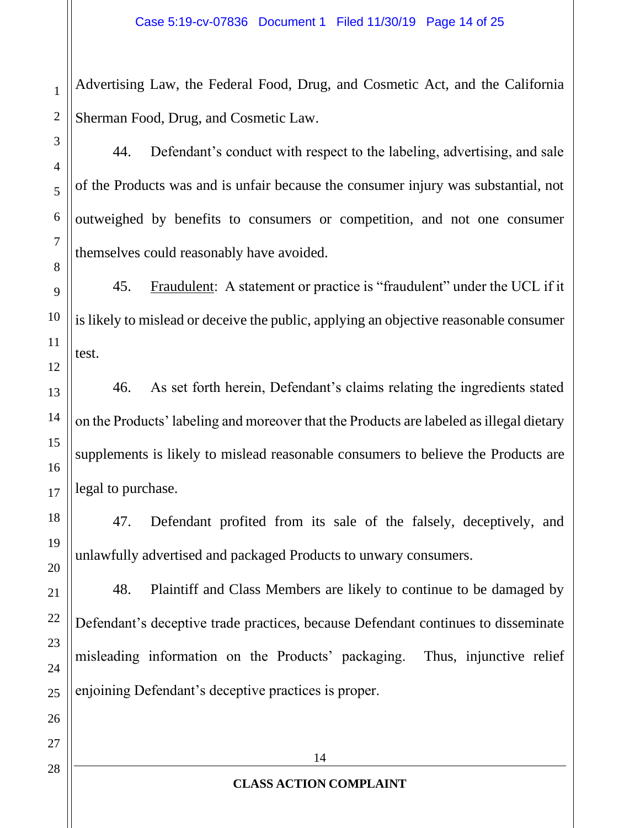Advertising Law, the Federal Food, Drug, and Cosmetic Act, and the California Sherman Food, Drug, and Cosmetic Law.

44. Defendant's conduct with respect to the labeling, advertising, and sale of the Products was and is unfair because the consumer injury was substantial, not outweighed by benefits to consumers or competition, and not one consumer themselves could reasonably have avoided.

45. Fraudulent: A statement or practice is "fraudulent" under the UCL if it is likely to mislead or deceive the public, applying an objective reasonable consumer test.

46. As set forth herein, Defendant's claims relating the ingredients stated on the Products' labeling and moreover that the Products are labeled as illegal dietary supplements is likely to mislead reasonable consumers to believe the Products are legal to purchase.

47. Defendant profited from its sale of the falsely, deceptively, and unlawfully advertised and packaged Products to unwary consumers.

48. Plaintiff and Class Members are likely to continue to be damaged by Defendant's deceptive trade practices, because Defendant continues to disseminate misleading information on the Products' packaging. Thus, injunctive relief enjoining Defendant's deceptive practices is proper.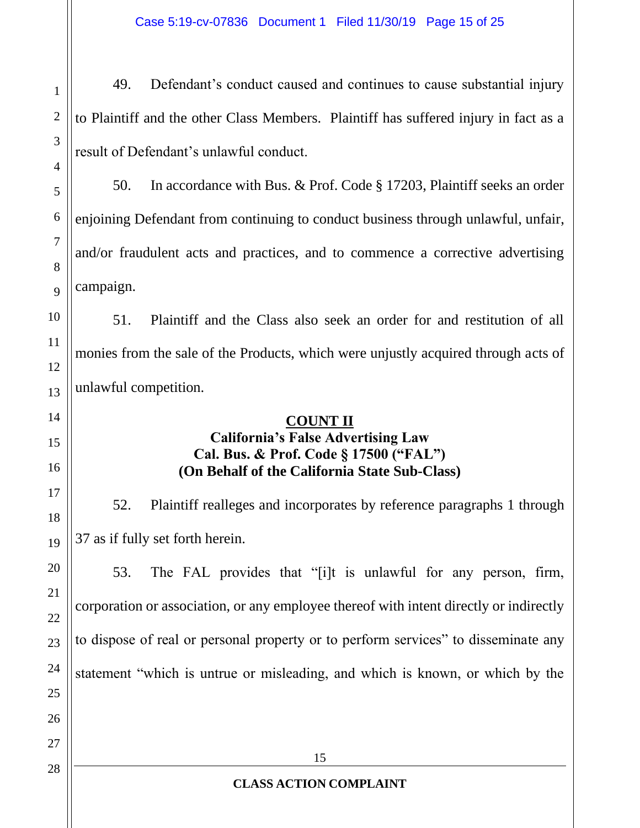Case 5:19-cv-07836 Document 1 Filed 11/30/19 Page 15 of 25

49. Defendant's conduct caused and continues to cause substantial injury to Plaintiff and the other Class Members. Plaintiff has suffered injury in fact as a result of Defendant's unlawful conduct.

50. In accordance with Bus. & Prof. Code § 17203, Plaintiff seeks an order enjoining Defendant from continuing to conduct business through unlawful, unfair, and/or fraudulent acts and practices, and to commence a corrective advertising campaign.

51. Plaintiff and the Class also seek an order for and restitution of all monies from the sale of the Products, which were unjustly acquired through acts of unlawful competition.

#### **COUNT II**

# **California's False Advertising Law Cal. Bus. & Prof. Code § 17500 ("FAL") (On Behalf of the California State Sub-Class)**

52. Plaintiff realleges and incorporates by reference paragraphs 1 through 37 as if fully set forth herein.

53. The FAL provides that "[i]t is unlawful for any person, firm, corporation or association, or any employee thereof with intent directly or indirectly to dispose of real or personal property or to perform services" to disseminate any statement "which is untrue or misleading, and which is known, or which by the

1

2

3

4

5

6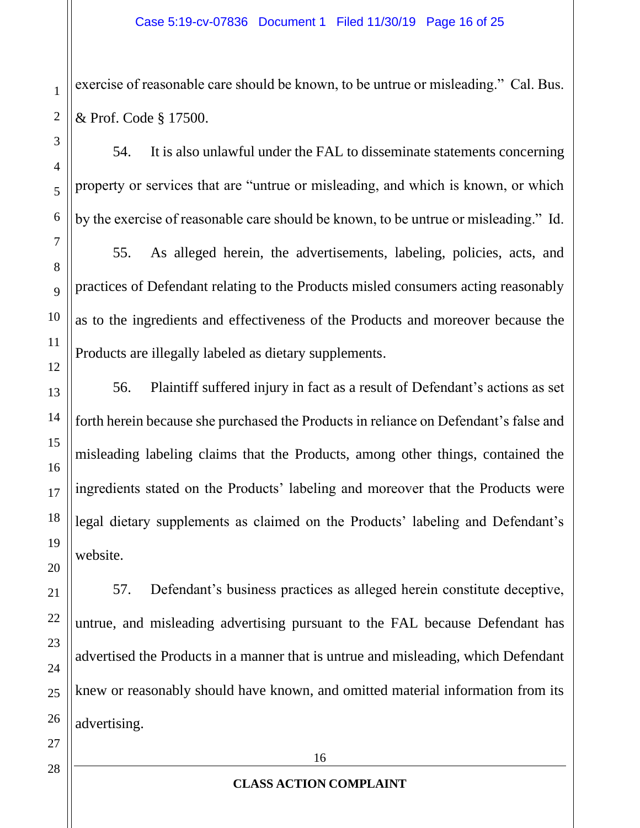exercise of reasonable care should be known, to be untrue or misleading." Cal. Bus. & Prof. Code § 17500.

54. It is also unlawful under the FAL to disseminate statements concerning property or services that are "untrue or misleading, and which is known, or which by the exercise of reasonable care should be known, to be untrue or misleading." Id.

55. As alleged herein, the advertisements, labeling, policies, acts, and practices of Defendant relating to the Products misled consumers acting reasonably as to the ingredients and effectiveness of the Products and moreover because the Products are illegally labeled as dietary supplements.

56. Plaintiff suffered injury in fact as a result of Defendant's actions as set forth herein because she purchased the Products in reliance on Defendant's false and misleading labeling claims that the Products, among other things, contained the ingredients stated on the Products' labeling and moreover that the Products were legal dietary supplements as claimed on the Products' labeling and Defendant's website.

57. Defendant's business practices as alleged herein constitute deceptive, untrue, and misleading advertising pursuant to the FAL because Defendant has advertised the Products in a manner that is untrue and misleading, which Defendant knew or reasonably should have known, and omitted material information from its advertising.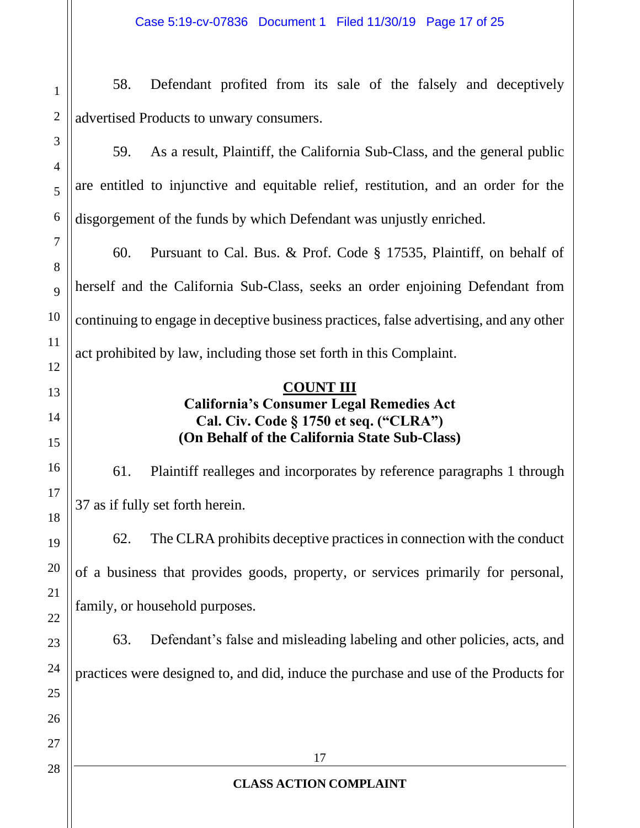58. Defendant profited from its sale of the falsely and deceptively advertised Products to unwary consumers.

59. As a result, Plaintiff, the California Sub-Class, and the general public are entitled to injunctive and equitable relief, restitution, and an order for the disgorgement of the funds by which Defendant was unjustly enriched.

60. Pursuant to Cal. Bus. & Prof. Code § 17535, Plaintiff, on behalf of herself and the California Sub-Class, seeks an order enjoining Defendant from continuing to engage in deceptive business practices, false advertising, and any other act prohibited by law, including those set forth in this Complaint.

## **COUNT III California's Consumer Legal Remedies Act Cal. Civ. Code § 1750 et seq. ("CLRA") (On Behalf of the California State Sub-Class)**

61. Plaintiff realleges and incorporates by reference paragraphs 1 through 37 as if fully set forth herein.

62. The CLRA prohibits deceptive practices in connection with the conduct of a business that provides goods, property, or services primarily for personal, family, or household purposes.

63. Defendant's false and misleading labeling and other policies, acts, and practices were designed to, and did, induce the purchase and use of the Products for

1

2

3

4

5

6

7

8

9

10

11

12

13

14

15

16

17

18

19

20

21

22

23

24

25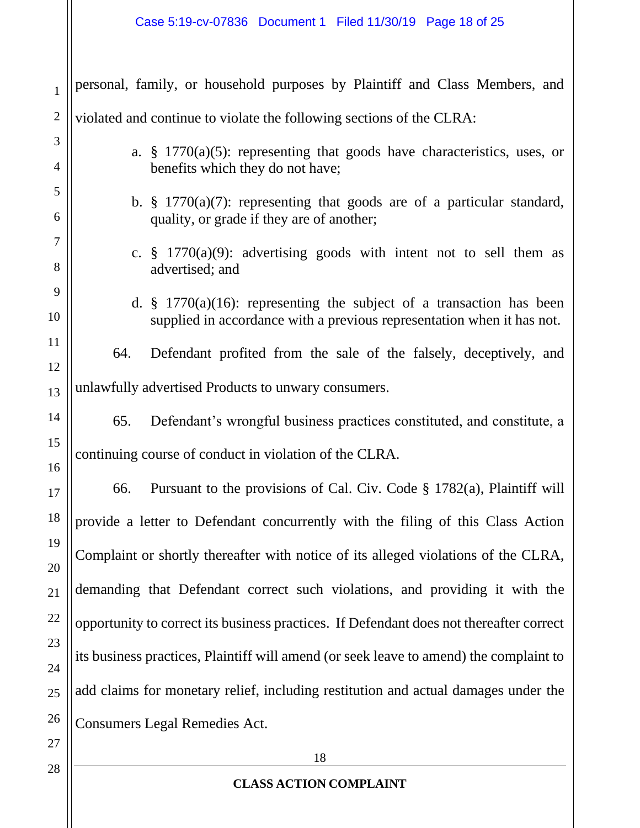| $\mathbf{1}$   | personal, family, or household purposes by Plaintiff and Class Members, and                                                                                |
|----------------|------------------------------------------------------------------------------------------------------------------------------------------------------------|
| $\overline{2}$ | violated and continue to violate the following sections of the CLRA:                                                                                       |
| 3              | a. $\S$ 1770(a)(5): representing that goods have characteristics, uses, or                                                                                 |
| 4<br>5         | benefits which they do not have;                                                                                                                           |
| 6              | b. $\frac{1}{2}$ 1770(a)(7): representing that goods are of a particular standard,<br>quality, or grade if they are of another;                            |
| 7              | c. $\frac{1}{2}$ 1770(a)(9): advertising goods with intent not to sell them as                                                                             |
| 8<br>9         | advertised; and                                                                                                                                            |
| 10             | d. $\frac{1}{2}$ 1770(a)(16): representing the subject of a transaction has been<br>supplied in accordance with a previous representation when it has not. |
| 11             | Defendant profited from the sale of the falsely, deceptively, and<br>64.                                                                                   |
| 12<br>13       | unlawfully advertised Products to unwary consumers.                                                                                                        |
| 14             | Defendant's wrongful business practices constituted, and constitute, a<br>65.                                                                              |
| 15<br>16       | continuing course of conduct in violation of the CLRA.                                                                                                     |
| 17             | Pursuant to the provisions of Cal. Civ. Code $\S$ 1782(a), Plaintiff will<br>66.                                                                           |
| 18             | provide a letter to Defendant concurrently with the filing of this Class Action                                                                            |
| 19<br>20       | Complaint or shortly thereafter with notice of its alleged violations of the CLRA,                                                                         |
| 21             | demanding that Defendant correct such violations, and providing it with the                                                                                |
| 22             | opportunity to correct its business practices. If Defendant does not thereafter correct                                                                    |
| 23<br>24       | its business practices, Plaintiff will amend (or seek leave to amend) the complaint to                                                                     |
| 25             | add claims for monetary relief, including restitution and actual damages under the                                                                         |
| 26             | <b>Consumers Legal Remedies Act.</b>                                                                                                                       |
| 27<br>28       | 18                                                                                                                                                         |
|                |                                                                                                                                                            |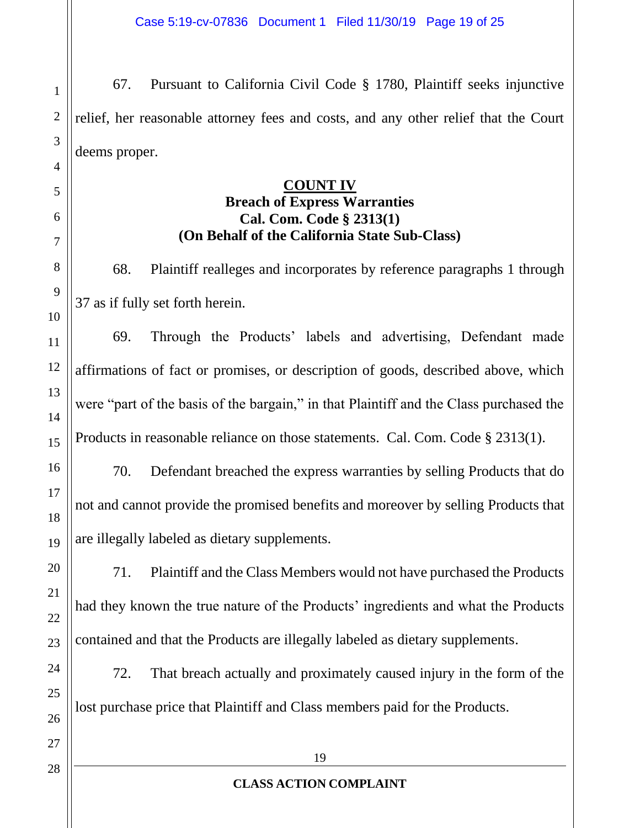67. Pursuant to California Civil Code § 1780, Plaintiff seeks injunctive relief, her reasonable attorney fees and costs, and any other relief that the Court deems proper.

#### **COUNT IV**

# **Breach of Express Warranties Cal. Com. Code § 2313(1) (On Behalf of the California State Sub-Class)**

68. Plaintiff realleges and incorporates by reference paragraphs 1 through 37 as if fully set forth herein.

69. Through the Products' labels and advertising, Defendant made affirmations of fact or promises, or description of goods, described above, which were "part of the basis of the bargain," in that Plaintiff and the Class purchased the Products in reasonable reliance on those statements. Cal. Com. Code § 2313(1).

70. Defendant breached the express warranties by selling Products that do not and cannot provide the promised benefits and moreover by selling Products that are illegally labeled as dietary supplements.

71. Plaintiff and the Class Members would not have purchased the Products had they known the true nature of the Products' ingredients and what the Products contained and that the Products are illegally labeled as dietary supplements.

72. That breach actually and proximately caused injury in the form of the lost purchase price that Plaintiff and Class members paid for the Products.

1

2

3

4

5

6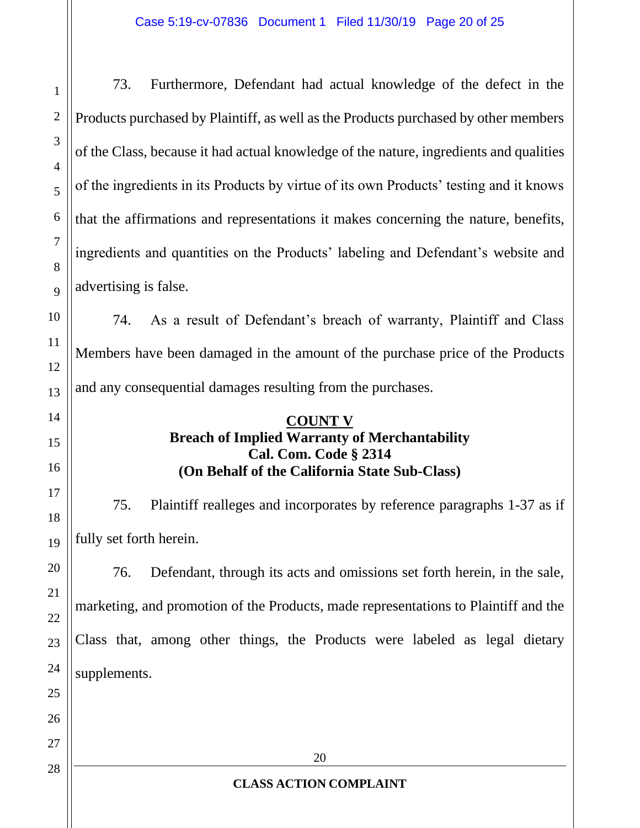73. Furthermore, Defendant had actual knowledge of the defect in the Products purchased by Plaintiff, as well as the Products purchased by other members of the Class, because it had actual knowledge of the nature, ingredients and qualities of the ingredients in its Products by virtue of its own Products' testing and it knows that the affirmations and representations it makes concerning the nature, benefits, ingredients and quantities on the Products' labeling and Defendant's website and advertising is false.

74. As a result of Defendant's breach of warranty, Plaintiff and Class Members have been damaged in the amount of the purchase price of the Products and any consequential damages resulting from the purchases.

#### **COUNT V Breach of Implied Warranty of Merchantability Cal. Com. Code § 2314 (On Behalf of the California State Sub-Class)**

75. Plaintiff realleges and incorporates by reference paragraphs 1-37 as if fully set forth herein.

76. Defendant, through its acts and omissions set forth herein, in the sale, marketing, and promotion of the Products, made representations to Plaintiff and the Class that, among other things, the Products were labeled as legal dietary supplements.

1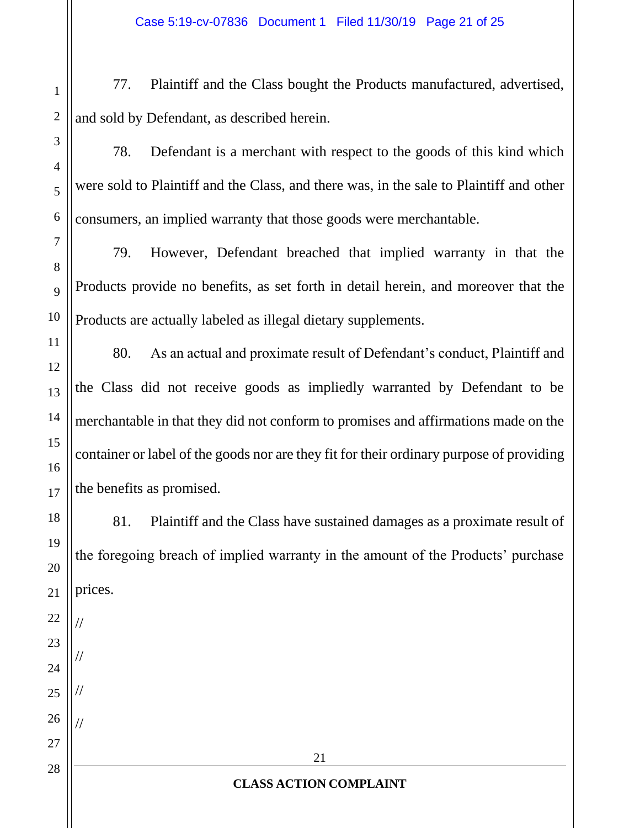77. Plaintiff and the Class bought the Products manufactured, advertised, and sold by Defendant, as described herein.

78. Defendant is a merchant with respect to the goods of this kind which were sold to Plaintiff and the Class, and there was, in the sale to Plaintiff and other consumers, an implied warranty that those goods were merchantable.

79. However, Defendant breached that implied warranty in that the Products provide no benefits, as set forth in detail herein, and moreover that the Products are actually labeled as illegal dietary supplements.

80. As an actual and proximate result of Defendant's conduct, Plaintiff and the Class did not receive goods as impliedly warranted by Defendant to be merchantable in that they did not conform to promises and affirmations made on the container or label of the goods nor are they fit for their ordinary purpose of providing the benefits as promised.

81. Plaintiff and the Class have sustained damages as a proximate result of the foregoing breach of implied warranty in the amount of the Products' purchase prices.

//

//

//

//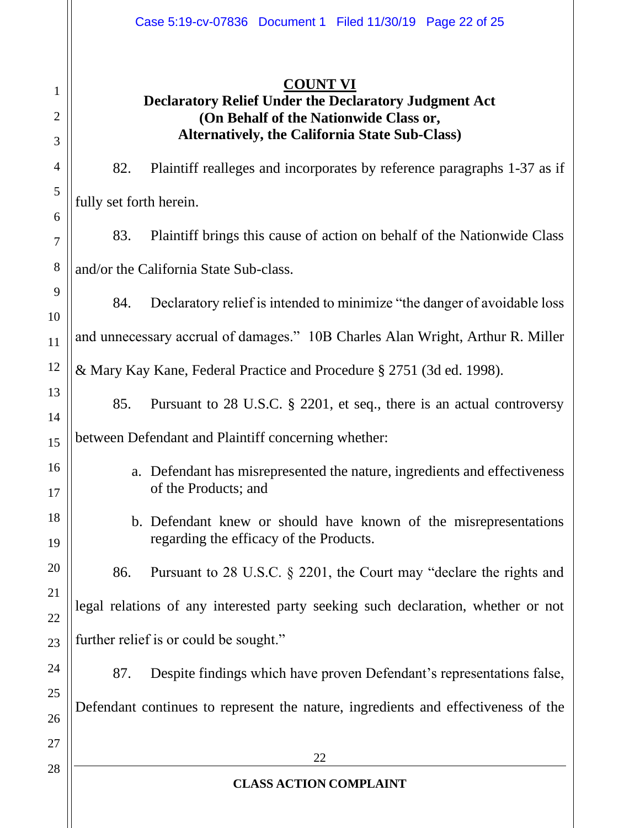# **COUNT VI**

# **Declaratory Relief Under the Declaratory Judgment Act (On Behalf of the Nationwide Class or, Alternatively, the California State Sub-Class)**

82. Plaintiff realleges and incorporates by reference paragraphs 1-37 as if fully set forth herein.

83. Plaintiff brings this cause of action on behalf of the Nationwide Class and/or the California State Sub-class.

84. Declaratory relief is intended to minimize "the danger of avoidable loss and unnecessary accrual of damages." 10B Charles Alan Wright, Arthur R. Miller & Mary Kay Kane, Federal Practice and Procedure § 2751 (3d ed. 1998).

85. Pursuant to 28 U.S.C. § 2201, et seq., there is an actual controversy

between Defendant and Plaintiff concerning whether:

- a. Defendant has misrepresented the nature, ingredients and effectiveness of the Products; and
- b. Defendant knew or should have known of the misrepresentations regarding the efficacy of the Products.

86. Pursuant to 28 U.S.C. § 2201, the Court may "declare the rights and legal relations of any interested party seeking such declaration, whether or not further relief is or could be sought."

87. Despite findings which have proven Defendant's representations false, Defendant continues to represent the nature, ingredients and effectiveness of the

27 28

1

2

3

4

5

6

7

8

9

10

11

12

13

14

15

16

17

18

19

20

21

22

23

24

25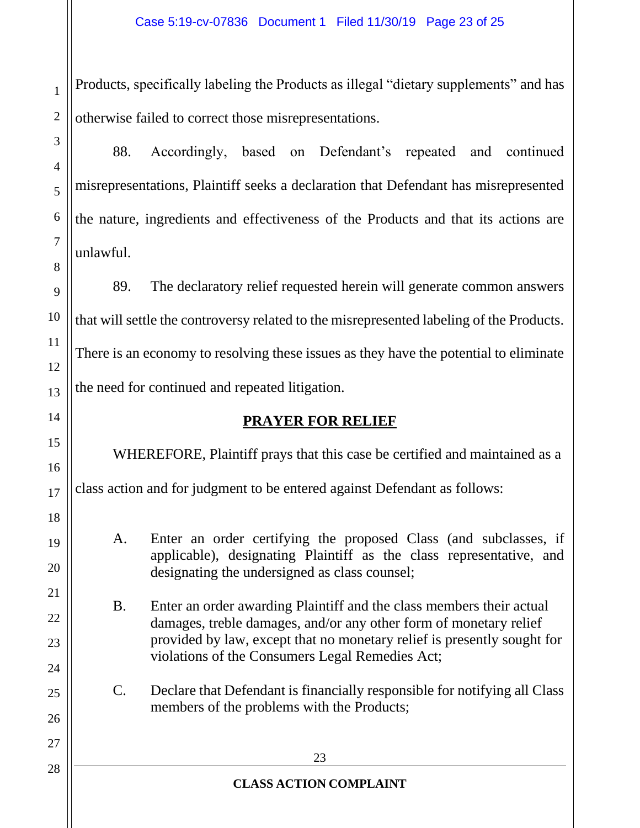Products, specifically labeling the Products as illegal "dietary supplements" and has otherwise failed to correct those misrepresentations.

88. Accordingly, based on Defendant's repeated and continued misrepresentations, Plaintiff seeks a declaration that Defendant has misrepresented the nature, ingredients and effectiveness of the Products and that its actions are unlawful.

89. The declaratory relief requested herein will generate common answers that will settle the controversy related to the misrepresented labeling of the Products. There is an economy to resolving these issues as they have the potential to eliminate the need for continued and repeated litigation.

# **PRAYER FOR RELIEF**

WHEREFORE, Plaintiff prays that this case be certified and maintained as a class action and for judgment to be entered against Defendant as follows:

A. Enter an order certifying the proposed Class (and subclasses, if applicable), designating Plaintiff as the class representative, and designating the undersigned as class counsel;

B. Enter an order awarding Plaintiff and the class members their actual damages, treble damages, and/or any other form of monetary relief provided by law, except that no monetary relief is presently sought for violations of the Consumers Legal Remedies Act;

C. Declare that Defendant is financially responsible for notifying all Class members of the problems with the Products;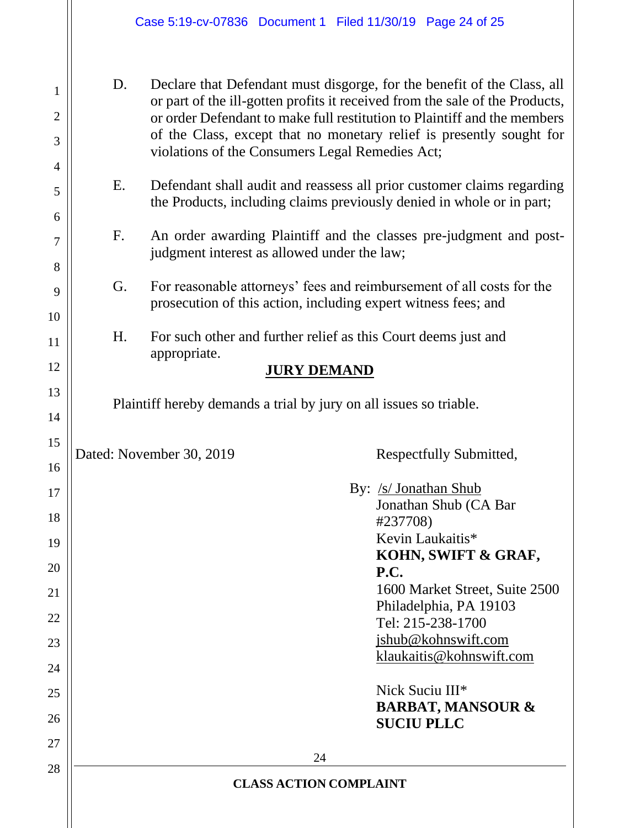D. Declare that Defendant must disgorge, for the benefit of the Class, all or part of the ill-gotten profits it received from the sale of the Products, or order Defendant to make full restitution to Plaintiff and the members of the Class, except that no monetary relief is presently sought for violations of the Consumers Legal Remedies Act;

- E. Defendant shall audit and reassess all prior customer claims regarding the Products, including claims previously denied in whole or in part;
- F. An order awarding Plaintiff and the classes pre-judgment and postjudgment interest as allowed under the law;
- G. For reasonable attorneys' fees and reimbursement of all costs for the prosecution of this action, including expert witness fees; and
- H. For such other and further relief as this Court deems just and appropriate.

# **JURY DEMAND**

Plaintiff hereby demands a trial by jury on all issues so triable.

Dated: November 30, 2019 Respectfully Submitted,

24 **CLASS ACTION COMPLAINT** By: /s/ Jonathan Shub Jonathan Shub (CA Bar #237708) Kevin Laukaitis\* **KOHN, SWIFT & GRAF, P.C.**  1600 Market Street, Suite 2500 Philadelphia, PA 19103 Tel: 215-238-1700 jshub@kohnswift.com klaukaitis@kohnswift.com Nick Suciu III\* **BARBAT, MANSOUR & SUCIU PLLC**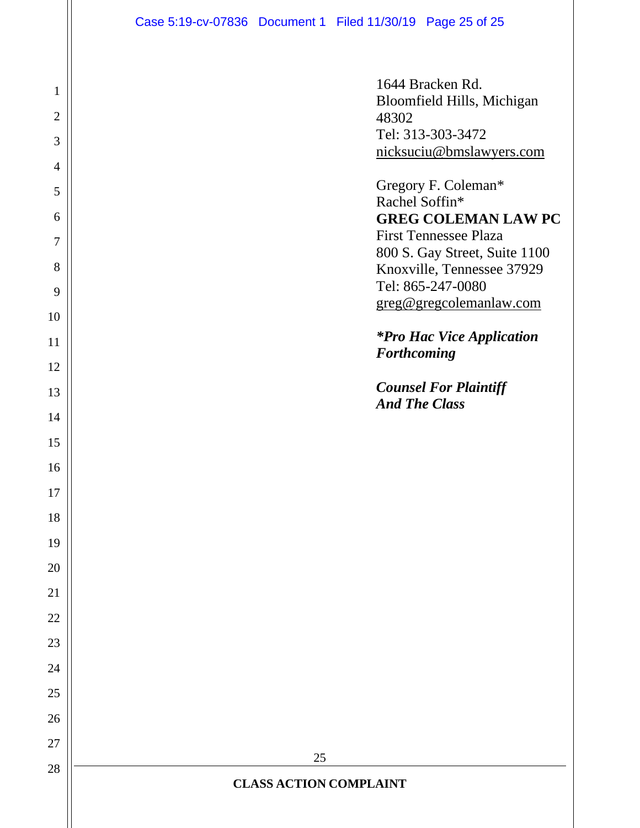| $\mathbf{1}$<br>$\overline{2}$<br>3 | 1644 Bracken Rd.<br>Bloomfield Hills, Michigan<br>48302<br>Tel: 313-303-3472<br>nicksuciu@bmslawyers.com |
|-------------------------------------|----------------------------------------------------------------------------------------------------------|
| $\overline{4}$<br>5                 | Gregory F. Coleman*                                                                                      |
| 6                                   | Rachel Soffin*<br><b>GREG COLEMAN LAW PC</b>                                                             |
| 7                                   | <b>First Tennessee Plaza</b>                                                                             |
| 8                                   | 800 S. Gay Street, Suite 1100<br>Knoxville, Tennessee 37929                                              |
| 9                                   | Tel: 865-247-0080                                                                                        |
| 10                                  | greg@gregcolemanlaw.com                                                                                  |
| 11                                  | <i>*Pro Hac Vice Application</i>                                                                         |
| 12                                  | <b>Forthcoming</b>                                                                                       |
| 13                                  | <b>Counsel For Plaintiff</b>                                                                             |
| 14                                  | <b>And The Class</b>                                                                                     |
| 15                                  |                                                                                                          |
| 16                                  |                                                                                                          |
| 17                                  |                                                                                                          |
| 18                                  |                                                                                                          |
| 19                                  |                                                                                                          |
| 20                                  |                                                                                                          |
| 21                                  |                                                                                                          |
| 22                                  |                                                                                                          |
| 23                                  |                                                                                                          |
| 24                                  |                                                                                                          |
| 25                                  |                                                                                                          |
| 26                                  |                                                                                                          |
| 27                                  | 25                                                                                                       |
| 28                                  | <b>CLASS ACTION COMPLAINT</b>                                                                            |
|                                     |                                                                                                          |
|                                     |                                                                                                          |